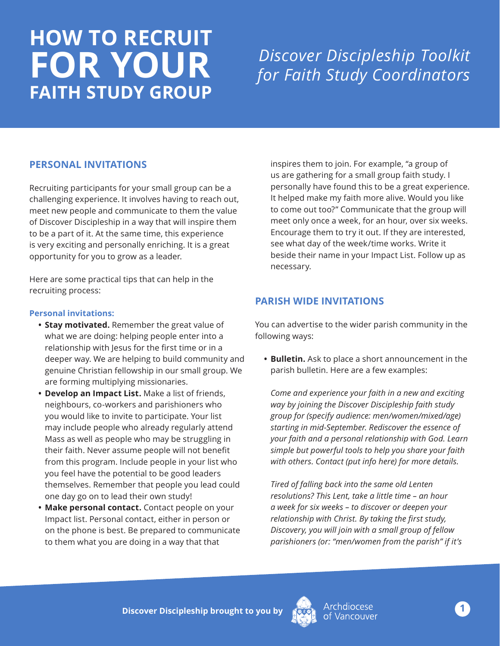# **HOW TO RECRUIT FOR YOUR FAITH STUDY GROUP**

# *Discover Discipleship Toolkit for Faith Study Coordinators*

### **PERSONAL INVITATIONS**

Recruiting participants for your small group can be a challenging experience. It involves having to reach out, meet new people and communicate to them the value of Discover Discipleship in a way that will inspire them to be a part of it. At the same time, this experience is very exciting and personally enriching. It is a great opportunity for you to grow as a leader.

Here are some practical tips that can help in the recruiting process:

#### **Personal invitations:**

- **• Stay motivated.** Remember the great value of what we are doing: helping people enter into a relationship with Jesus for the first time or in a deeper way. We are helping to build community and genuine Christian fellowship in our small group. We are forming multiplying missionaries.
- **• Develop an Impact List.** Make a list of friends, neighbours, co-workers and parishioners who you would like to invite to participate. Your list may include people who already regularly attend Mass as well as people who may be struggling in their faith. Never assume people will not benefit from this program. Include people in your list who you feel have the potential to be good leaders themselves. Remember that people you lead could one day go on to lead their own study!
- **• Make personal contact.** Contact people on your Impact list. Personal contact, either in person or on the phone is best. Be prepared to communicate to them what you are doing in a way that that

inspires them to join. For example, "a group of us are gathering for a small group faith study. I personally have found this to be a great experience. It helped make my faith more alive. Would you like to come out too?" Communicate that the group will meet only once a week, for an hour, over six weeks. Encourage them to try it out. If they are interested, see what day of the week/time works. Write it beside their name in your Impact List. Follow up as necessary.

## **PARISH WIDE INVITATIONS**

You can advertise to the wider parish community in the following ways:

**• Bulletin.** Ask to place a short announcement in the parish bulletin. Here are a few examples:

*Come and experience your faith in a new and exciting way by joining the Discover Discipleship faith study group for (specify audience: men/women/mixed/age) starting in mid-September. Rediscover the essence of your faith and a personal relationship with God. Learn simple but powerful tools to help you share your faith with others. Contact (put info here) for more details.*

*Tired of falling back into the same old Lenten resolutions? This Lent, take a little time – an hour a week for six weeks – to discover or deepen your relationship with Christ. By taking the first study, Discovery, you will join with a small group of fellow parishioners (or: "men/women from the parish" if it's*